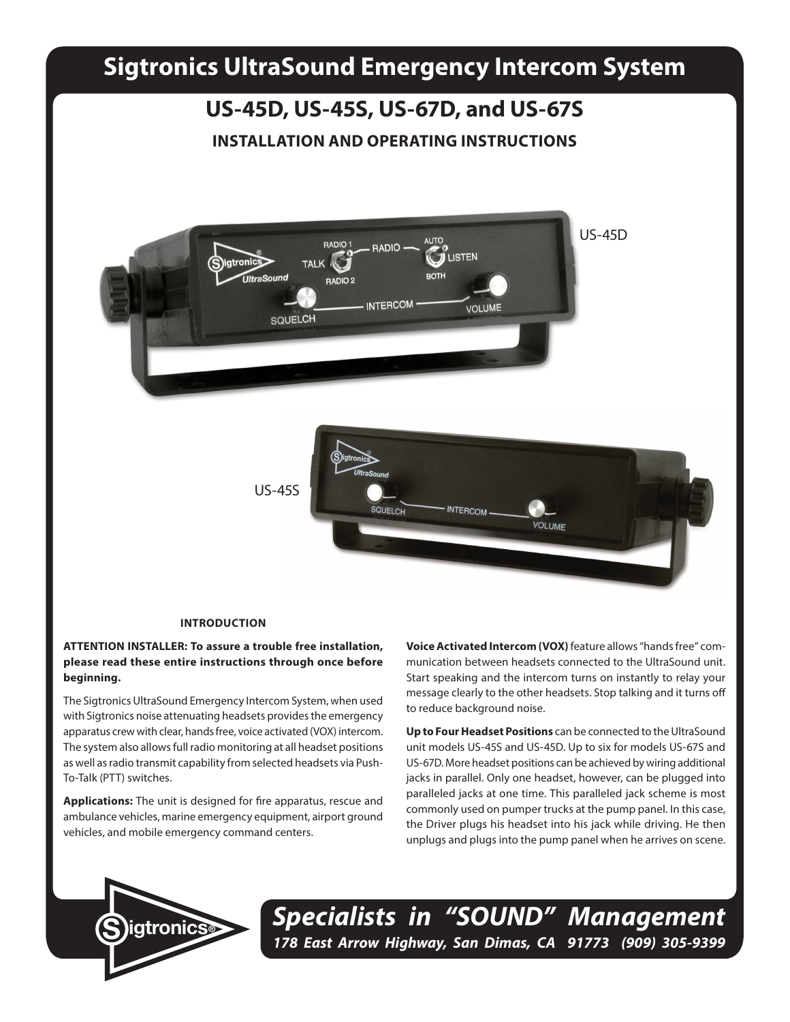# **Sigtronics UltraSound Emergency Intercom System**

# **US-45D, US-45S, US-67D, and US-67S**

## **INSTALLATION AND OPERATING INSTRUCTIONS**



#### **INTRODUCTION**

## **ATTENTION INSTALLER: To assure a trouble free installation, please read these entire instructions through once before beginning.**

The Sigtronics UltraSound Emergency Intercom System, when used with Sigtronics noise attenuating headsets provides the emergency apparatus crew with clear, hands free, voice activated (VOX) intercom. The system also allows full radio monitoring at all headset positions as well as radio transmit capability from selected headsets via Push-To-Talk (PTT) switches.

**Applications:** The unit is designed for fire apparatus, rescue and ambulance vehicles, marine emergency equipment, airport ground vehicles, and mobile emergency command centers.

**Voice Activated Intercom (VOX)** feature allows "hands free" communication between headsets connected to the UltraSound unit. Start speaking and the intercom turns on instantly to relay your message clearly to the other headsets. Stop talking and it turns off to reduce background noise.

**Up to Four Headset Positions** can be connected to the UltraSound unit models US-45S and US-45D. Up to six for models US-67S and US-67D. More headset positions can be achieved by wiring additional jacks in parallel. Only one headset, however, can be plugged into paralleled jacks at one time. This paralleled jack scheme is most commonly used on pumper trucks at the pump panel. In this case, the Driver plugs his headset into his jack while driving. He then unplugs and plugs into the pump panel when he arrives on scene.



*Specialists in "SOUND" Management 178 East Arrow Highway, San Dimas, CA 91773 (909) 305-9399* **S igtronics®**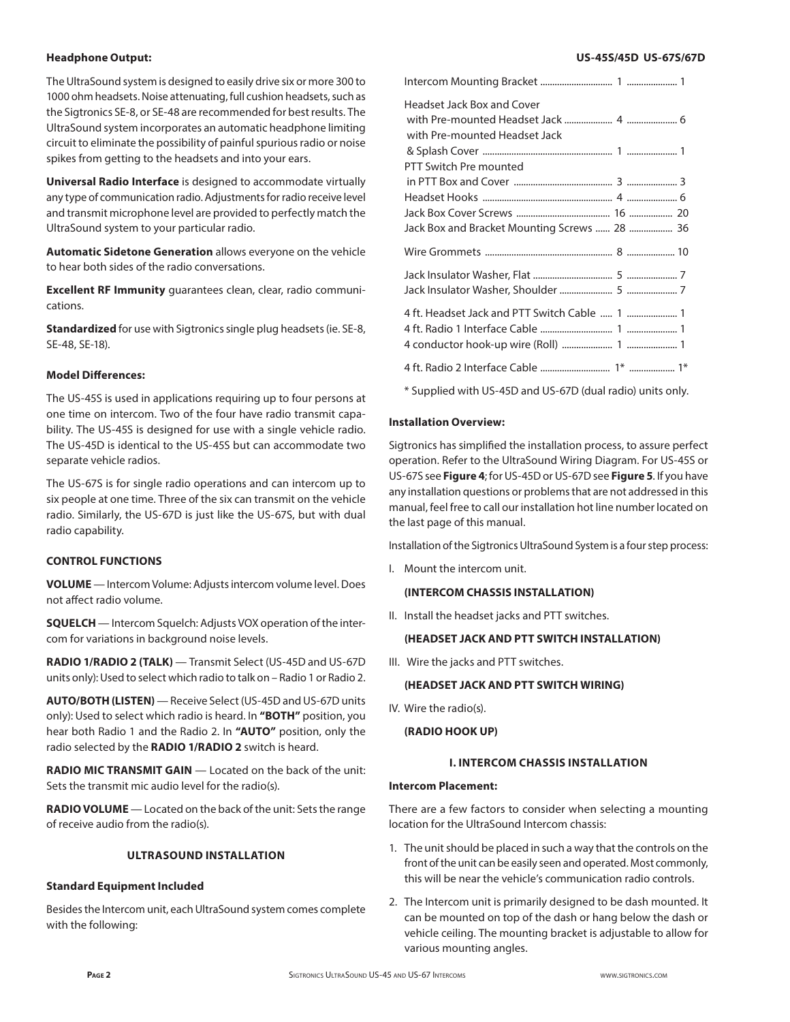## **Headphone Output:**

The UltraSound system is designed to easily drive six or more 300 to 1000 ohm headsets. Noise attenuating, full cushion headsets, such as the Sigtronics SE-8, or SE-48 are recommended for best results. The UltraSound system incorporates an automatic headphone limiting circuit to eliminate the possibility of painful spurious radio or noise spikes from getting to the headsets and into your ears.

**Universal Radio Interface** is designed to accommodate virtually any type of communication radio. Adjustments for radio receive level and transmit microphone level are provided to perfectly match the UltraSound system to your particular radio.

**Automatic Sidetone Generation** allows everyone on the vehicle to hear both sides of the radio conversations.

**Excellent RF Immunity** guarantees clean, clear, radio communications.

**Standardized** for use with Sigtronics single plug headsets (ie. SE-8, SE-48, SE-18).

## **Model Differences:**

The US-45S is used in applications requiring up to four persons at one time on intercom. Two of the four have radio transmit capability. The US-45S is designed for use with a single vehicle radio. The US-45D is identical to the US-45S but can accommodate two separate vehicle radios.

The US-67S is for single radio operations and can intercom up to six people at one time. Three of the six can transmit on the vehicle radio. Similarly, the US-67D is just like the US-67S, but with dual radio capability.

## **CONTROL FUNCTIONS**

**VOLUME** — Intercom Volume: Adjusts intercom volume level. Does not affect radio volume.

**SQUELCH** — Intercom Squelch: Adjusts VOX operation of the intercom for variations in background noise levels.

**RADIO 1/RADIO 2 (TALK)** — Transmit Select (US-45D and US-67D units only): Used to select which radio to talk on – Radio 1 or Radio 2.

**AUTO/BOTH (LISTEN)** — Receive Select (US-45D and US-67D units only): Used to select which radio is heard. In **"BOTH"** position, you hear both Radio 1 and the Radio 2. In **"AUTO"** position, only the radio selected by the **RADIO 1/RADIO 2** switch is heard.

**RADIO MIC TRANSMIT GAIN** — Located on the back of the unit: Sets the transmit mic audio level for the radio(s).

**RADIO VOLUME** — Located on the back of the unit: Sets the range of receive audio from the radio(s).

## **ULTRASOUND INSTALLATION**

#### **Standard Equipment Included**

Besides the Intercom unit, each UltraSound system comes complete with the following:

#### **US-45S/45D US-67S/67D**

| Headset Jack Box and Cover<br>with Pre-mounted Headset Jack |
|-------------------------------------------------------------|
| PTT Switch Pre mounted                                      |
|                                                             |
|                                                             |
|                                                             |
| Jack Box and Bracket Mounting Screws  28  36                |
|                                                             |
|                                                             |
| 4 ft. Headset Jack and PTT Switch Cable  1  1               |
|                                                             |

\* Supplied with US-45D and US-67D (dual radio) units only.

## **Installation Overview:**

Sigtronics has simplified the installation process, to assure perfect operation. Refer to the UltraSound Wiring Diagram. For US-45S or US-67S see **Figure 4**; for US-45D or US-67D see **Figure 5**. If you have any installation questions or problems that are not addressed in this manual, feel free to call our installation hot line number located on the last page of this manual.

Installation of the Sigtronics UltraSound System is a four step process:

I. Mount the intercom unit.

#### **(INTERCOM CHASSIS INSTALLATION)**

II. Install the headset jacks and PTT switches.

## **(HEADSET JACK AND PTT SWITCH INSTALLATION)**

III. Wire the jacks and PTT switches.

#### **(HEADSET JACK AND PTT SWITCH WIRING)**

IV. Wire the radio(s).

#### **(RADIO HOOK UP)**

#### **I. INTERCOM CHASSIS INSTALLATION**

## **Intercom Placement:**

There are a few factors to consider when selecting a mounting location for the UltraSound Intercom chassis:

- 1. The unit should be placed in such a way that the controls on the front of the unit can be easily seen and operated. Most commonly, this will be near the vehicle's communication radio controls.
- 2. The Intercom unit is primarily designed to be dash mounted. It can be mounted on top of the dash or hang below the dash or vehicle ceiling. The mounting bracket is adjustable to allow for various mounting angles.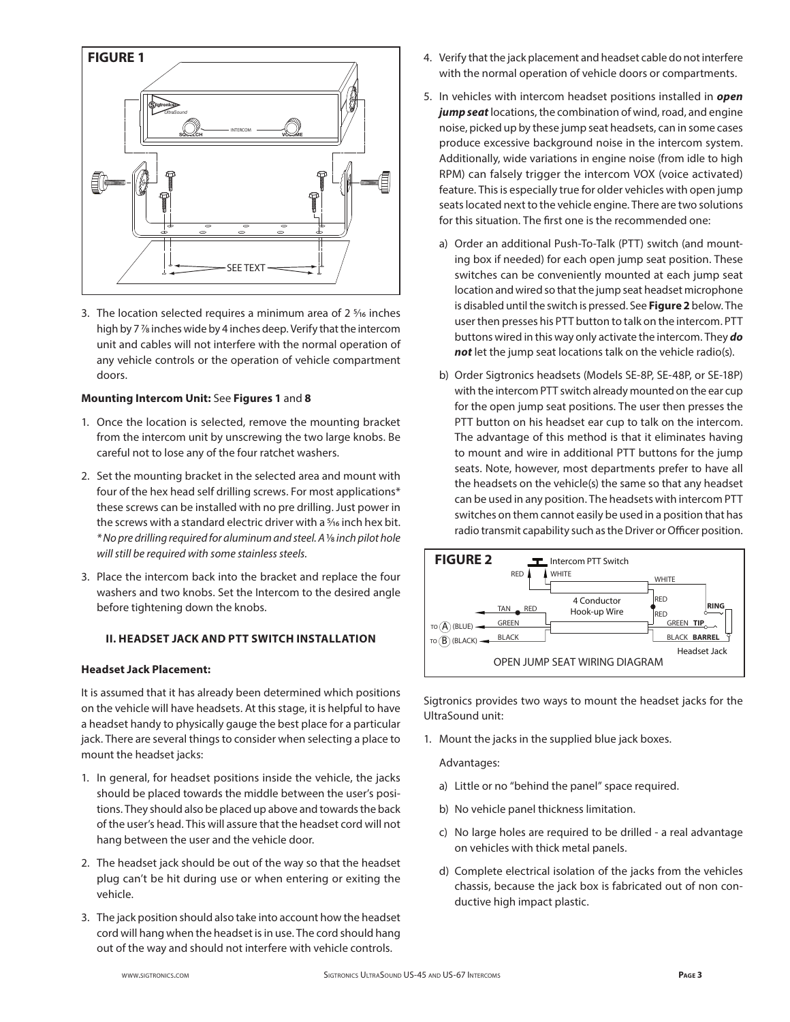

3. The location selected requires a minimum area of  $2\frac{5}{16}$  inches high by 7 7⁄8 inches wide by 4 inches deep. Verify that the intercom unit and cables will not interfere with the normal operation of any vehicle controls or the operation of vehicle compartment doors.

## **Mounting Intercom Unit:** See **Figures 1** and **8**

- 1. Once the location is selected, remove the mounting bracket from the intercom unit by unscrewing the two large knobs. Be careful not to lose any of the four ratchet washers.
- 2. Set the mounting bracket in the selected area and mount with four of the hex head self drilling screws. For most applications\* these screws can be installed with no pre drilling. Just power in the screws with a standard electric driver with a <sup>5</sup>/16 inch hex bit. *\* No pre drilling required for aluminum and steel. A* 1⁄8 *inch pilot hole will still be required with some stainless steels.*
- 3. Place the intercom back into the bracket and replace the four washers and two knobs. Set the Intercom to the desired angle before tightening down the knobs.

## **II. HEADSET JACK AND PTT SWITCH INSTALLATION**

## **Headset Jack Placement:**

It is assumed that it has already been determined which positions on the vehicle will have headsets. At this stage, it is helpful to have a headset handy to physically gauge the best place for a particular jack. There are several things to consider when selecting a place to mount the headset jacks:

- 1. In general, for headset positions inside the vehicle, the jacks should be placed towards the middle between the user's positions. They should also be placed up above and towards the back of the user's head. This will assure that the headset cord will not hang between the user and the vehicle door.
- 2. The headset jack should be out of the way so that the headset plug can't be hit during use or when entering or exiting the vehicle.
- 3. The jack position should also take into account how the headset cord will hang when the headset is in use. The cord should hang out of the way and should not interfere with vehicle controls.
- 4. Verify that the jack placement and headset cable do not interfere with the normal operation of vehicle doors or compartments.
- 5. In vehicles with intercom headset positions installed in *open jump seat* locations, the combination of wind, road, and engine noise, picked up by these jump seat headsets, can in some cases produce excessive background noise in the intercom system. Additionally, wide variations in engine noise (from idle to high RPM) can falsely trigger the intercom VOX (voice activated) feature. This is especially true for older vehicles with open jump seats located next to the vehicle engine. There are two solutions for this situation. The first one is the recommended one:
	- a) Order an additional Push-To-Talk (PTT) switch (and mounting box if needed) for each open jump seat position. These switches can be conveniently mounted at each jump seat location and wired so that the jump seat headset microphone is disabled until the switch is pressed. See **Figure 2** below. The user then presses his PTT button to talk on the intercom. PTT buttons wired in this way only activate the intercom. They *do not* let the jump seat locations talk on the vehicle radio(s).
	- b) Order Sigtronics headsets (Models SE-8P, SE-48P, or SE-18P) with the intercom PTT switch already mounted on the ear cup for the open jump seat positions. The user then presses the PTT button on his headset ear cup to talk on the intercom. The advantage of this method is that it eliminates having to mount and wire in additional PTT buttons for the jump seats. Note, however, most departments prefer to have all the headsets on the vehicle(s) the same so that any headset can be used in any position. The headsets with intercom PTT switches on them cannot easily be used in a position that has radio transmit capability such as the Driver or Officer position.



Sigtronics provides two ways to mount the headset jacks for the UltraSound unit:

1. Mount the jacks in the supplied blue jack boxes.

Advantages:

- a) Little or no "behind the panel" space required.
- b) No vehicle panel thickness limitation.
	- c) No large holes are required to be drilled a real advantage on vehicles with thick metal panels.
	- d) Complete electrical isolation of the jacks from the vehicles chassis, because the jack box is fabricated out of non conductive high impact plastic.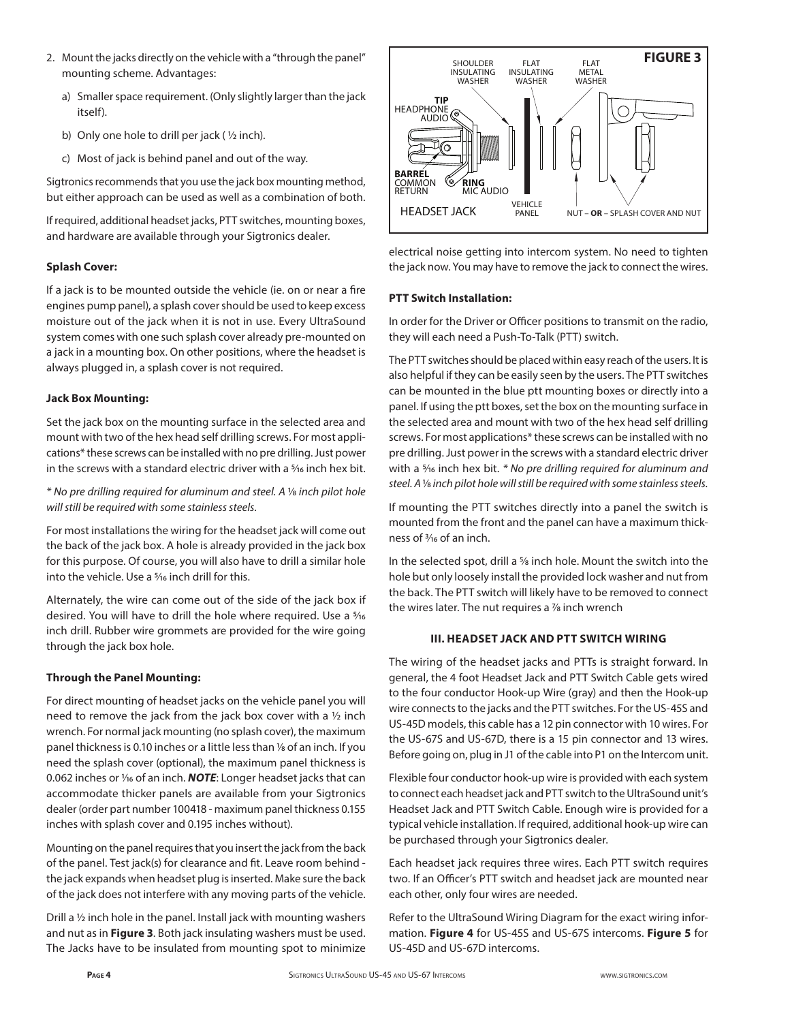- 2. Mount the jacks directly on the vehicle with a "through the panel" mounting scheme. Advantages:
	- a) Smaller space requirement. (Only slightly larger than the jack itself).
	- b) Only one hole to drill per jack ( ½ inch).
	- c) Most of jack is behind panel and out of the way.

Sigtronics recommends that you use the jack box mounting method, but either approach can be used as well as a combination of both.

If required, additional headset jacks, PTT switches, mounting boxes, and hardware are available through your Sigtronics dealer.

## **Splash Cover:**

If a jack is to be mounted outside the vehicle (ie. on or near a fire engines pump panel), a splash cover should be used to keep excess moisture out of the jack when it is not in use. Every UltraSound system comes with one such splash cover already pre-mounted on a jack in a mounting box. On other positions, where the headset is always plugged in, a splash cover is not required.

## **Jack Box Mounting:**

Set the jack box on the mounting surface in the selected area and mount with two of the hex head self drilling screws. For most applications\* these screws can be installed with no pre drilling. Just power in the screws with a standard electric driver with a <sup>5</sup>/16 inch hex bit.

*\* No pre drilling required for aluminum and steel. A* 1⁄8 *inch pilot hole will still be required with some stainless steels.*

For most installations the wiring for the headset jack will come out the back of the jack box. A hole is already provided in the jack box for this purpose. Of course, you will also have to drill a similar hole into the vehicle. Use a <sup>5</sup>/<sub>16</sub> inch drill for this.

Alternately, the wire can come out of the side of the jack box if desired. You will have to drill the hole where required. Use a 5⁄16 inch drill. Rubber wire grommets are provided for the wire going through the jack box hole.

## **Through the Panel Mounting:**

For direct mounting of headset jacks on the vehicle panel you will need to remove the jack from the jack box cover with a ½ inch wrench. For normal jack mounting (no splash cover), the maximum panel thickness is 0.10 inches or a little less than 1/8 of an inch. If you need the splash cover (optional), the maximum panel thickness is 0.062 inches or 1/<sub>16</sub> of an inch. **NOTE**: Longer headset jacks that can accommodate thicker panels are available from your Sigtronics dealer (order part number 100418 - maximum panel thickness 0.155 inches with splash cover and 0.195 inches without).

Mounting on the panel requires that you insert the jack from the back of the panel. Test jack(s) for clearance and fit. Leave room behind the jack expands when headset plug is inserted. Make sure the back of the jack does not interfere with any moving parts of the vehicle.

Drill a ½ inch hole in the panel. Install jack with mounting washers and nut as in **Figure 3**. Both jack insulating washers must be used. The Jacks have to be insulated from mounting spot to minimize



electrical noise getting into intercom system. No need to tighten the jack now. You may have to remove the jack to connect the wires.

## **PTT Switch Installation:**

In order for the Driver or Officer positions to transmit on the radio, they will each need a Push-To-Talk (PTT) switch.

The PTT switches should be placed within easy reach of the users. It is also helpful if they can be easily seen by the users. The PTT switches can be mounted in the blue ptt mounting boxes or directly into a panel. If using the ptt boxes, set the box on the mounting surface in the selected area and mount with two of the hex head self drilling screws. For most applications\* these screws can be installed with no pre drilling. Just power in the screws with a standard electric driver with a 5⁄16 inch hex bit. *\* No pre drilling required for aluminum and steel. A* 1⁄8 *inch pilot hole will still be required with some stainless steels.*

If mounting the PTT switches directly into a panel the switch is mounted from the front and the panel can have a maximum thickness of 3⁄16 of an inch.

In the selected spot, drill a <sup>5</sup>/<sub>8</sub> inch hole. Mount the switch into the hole but only loosely install the provided lock washer and nut from the back. The PTT switch will likely have to be removed to connect the wires later. The nut requires a  $\frac{7}{8}$  inch wrench

## **III. HEADSET JACK AND PTT SWITCH WIRING**

The wiring of the headset jacks and PTTs is straight forward. In general, the 4 foot Headset Jack and PTT Switch Cable gets wired to the four conductor Hook-up Wire (gray) and then the Hook-up wire connects to the jacks and the PTT switches. For the US-45S and US-45D models, this cable has a 12 pin connector with 10 wires. For the US-67S and US-67D, there is a 15 pin connector and 13 wires. Before going on, plug in J1 of the cable into P1 on the Intercom unit.

Flexible four conductor hook-up wire is provided with each system to connect each headset jack and PTT switch to the UltraSound unit's Headset Jack and PTT Switch Cable. Enough wire is provided for a typical vehicle installation. If required, additional hook-up wire can be purchased through your Sigtronics dealer.

Each headset jack requires three wires. Each PTT switch requires two. If an Officer's PTT switch and headset jack are mounted near each other, only four wires are needed.

Refer to the UltraSound Wiring Diagram for the exact wiring information. **Figure 4** for US-45S and US-67S intercoms. **Figure 5** for US-45D and US-67D intercoms.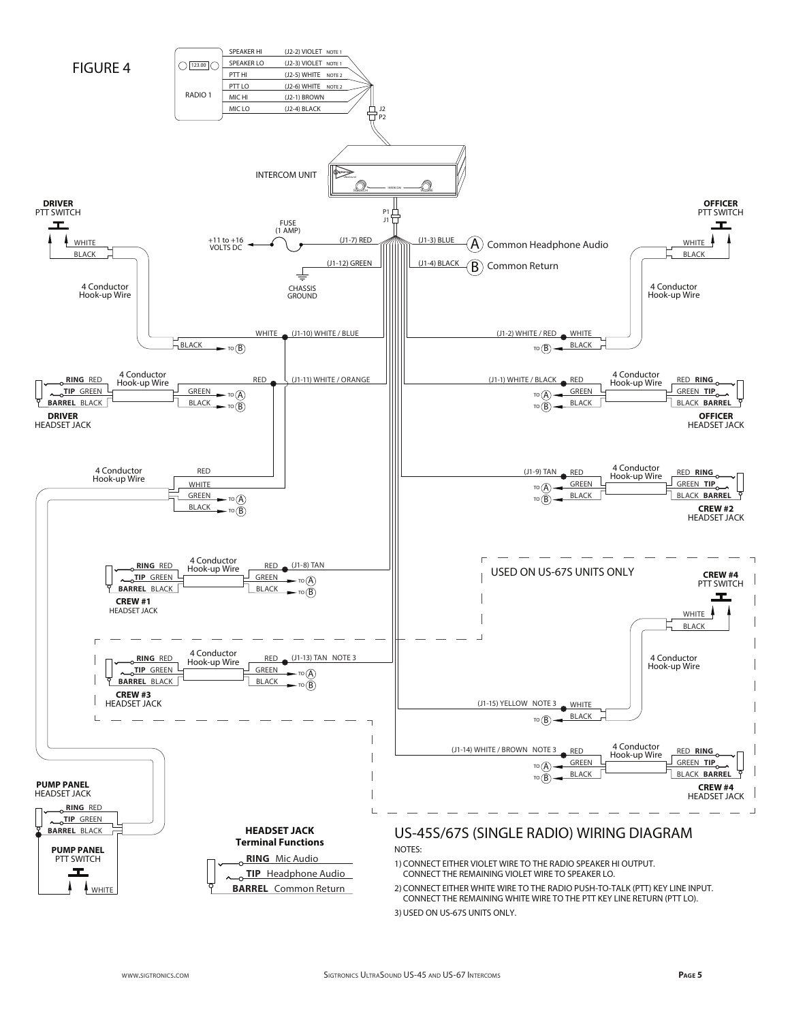

3) USED ON US-67S UNITS ONLY.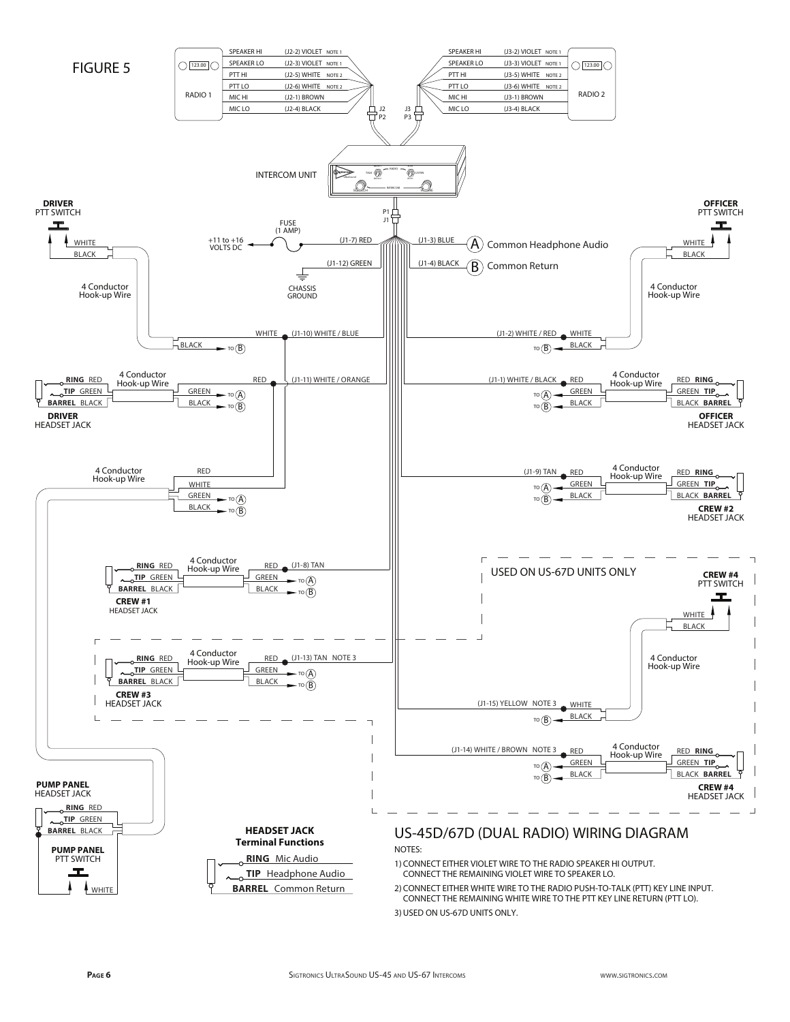

3) USED ON US-67D UNITS ONLY.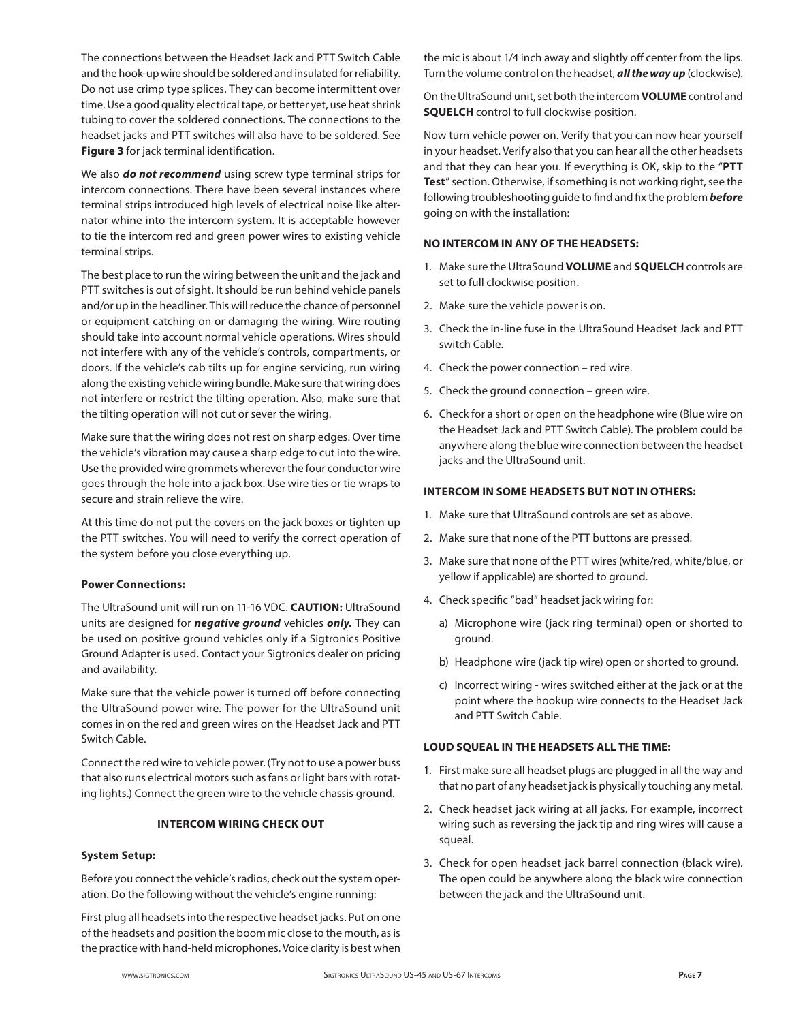The connections between the Headset Jack and PTT Switch Cable and the hook-up wire should be soldered and insulated for reliability. Do not use crimp type splices. They can become intermittent over time. Use a good quality electrical tape, or better yet, use heat shrink tubing to cover the soldered connections. The connections to the headset jacks and PTT switches will also have to be soldered. See **Figure 3** for jack terminal identification.

We also *do not recommend* using screw type terminal strips for intercom connections. There have been several instances where terminal strips introduced high levels of electrical noise like alternator whine into the intercom system. It is acceptable however to tie the intercom red and green power wires to existing vehicle terminal strips.

The best place to run the wiring between the unit and the jack and PTT switches is out of sight. It should be run behind vehicle panels and/or up in the headliner. This will reduce the chance of personnel or equipment catching on or damaging the wiring. Wire routing should take into account normal vehicle operations. Wires should not interfere with any of the vehicle's controls, compartments, or doors. If the vehicle's cab tilts up for engine servicing, run wiring along the existing vehicle wiring bundle. Make sure that wiring does not interfere or restrict the tilting operation. Also, make sure that the tilting operation will not cut or sever the wiring.

Make sure that the wiring does not rest on sharp edges. Over time the vehicle's vibration may cause a sharp edge to cut into the wire. Use the provided wire grommets wherever the four conductor wire goes through the hole into a jack box. Use wire ties or tie wraps to secure and strain relieve the wire.

At this time do not put the covers on the jack boxes or tighten up the PTT switches. You will need to verify the correct operation of the system before you close everything up.

## **Power Connections:**

The UltraSound unit will run on 11-16 VDC. **CAUTION:** UltraSound units are designed for *negative ground* vehicles *only.* They can be used on positive ground vehicles only if a Sigtronics Positive Ground Adapter is used. Contact your Sigtronics dealer on pricing and availability.

Make sure that the vehicle power is turned off before connecting the UltraSound power wire. The power for the UltraSound unit comes in on the red and green wires on the Headset Jack and PTT Switch Cable.

Connect the red wire to vehicle power. (Try not to use a power buss that also runs electrical motors such as fans or light bars with rotating lights.) Connect the green wire to the vehicle chassis ground.

## **INTERCOM WIRING CHECK OUT**

#### **System Setup:**

Before you connect the vehicle's radios, check out the system operation. Do the following without the vehicle's engine running:

First plug all headsets into the respective headset jacks. Put on one of the headsets and position the boom mic close to the mouth, as is the practice with hand-held microphones. Voice clarity is best when the mic is about 1/4 inch away and slightly off center from the lips. Turn the volume control on the headset, *all the way up* (clockwise).

On the UltraSound unit, set both the intercom **VOLUME** control and **SQUELCH** control to full clockwise position.

Now turn vehicle power on. Verify that you can now hear yourself in your headset. Verify also that you can hear all the other headsets and that they can hear you. If everything is OK, skip to the "**PTT Test**" section. Otherwise, if something is not working right, see the following troubleshooting guide to find and fix the problem *before* going on with the installation:

#### **NO INTERCOM IN ANY OF THE HEADSETS:**

- 1. Make sure the UltraSound **VOLUME** and **SQUELCH** controls are set to full clockwise position.
- 2. Make sure the vehicle power is on.
- 3. Check the in-line fuse in the UltraSound Headset Jack and PTT switch Cable.
- 4. Check the power connection red wire.
- 5. Check the ground connection green wire.
- 6. Check for a short or open on the headphone wire (Blue wire on the Headset Jack and PTT Switch Cable). The problem could be anywhere along the blue wire connection between the headset jacks and the UltraSound unit.

## **INTERCOM IN SOME HEADSETS BUT NOT IN OTHERS:**

- 1. Make sure that UltraSound controls are set as above.
- 2. Make sure that none of the PTT buttons are pressed.
- 3. Make sure that none of the PTT wires (white/red, white/blue, or yellow if applicable) are shorted to ground.
- 4. Check specific "bad" headset jack wiring for:
	- a) Microphone wire (jack ring terminal) open or shorted to ground.
	- b) Headphone wire (jack tip wire) open or shorted to ground.
	- c) Incorrect wiring wires switched either at the jack or at the point where the hookup wire connects to the Headset Jack and PTT Switch Cable.

#### **LOUD SQUEAL IN THE HEADSETS ALL THE TIME:**

- 1. First make sure all headset plugs are plugged in all the way and that no part of any headset jack is physically touching any metal.
- 2. Check headset jack wiring at all jacks. For example, incorrect wiring such as reversing the jack tip and ring wires will cause a squeal.
- 3. Check for open headset jack barrel connection (black wire). The open could be anywhere along the black wire connection between the jack and the UltraSound unit.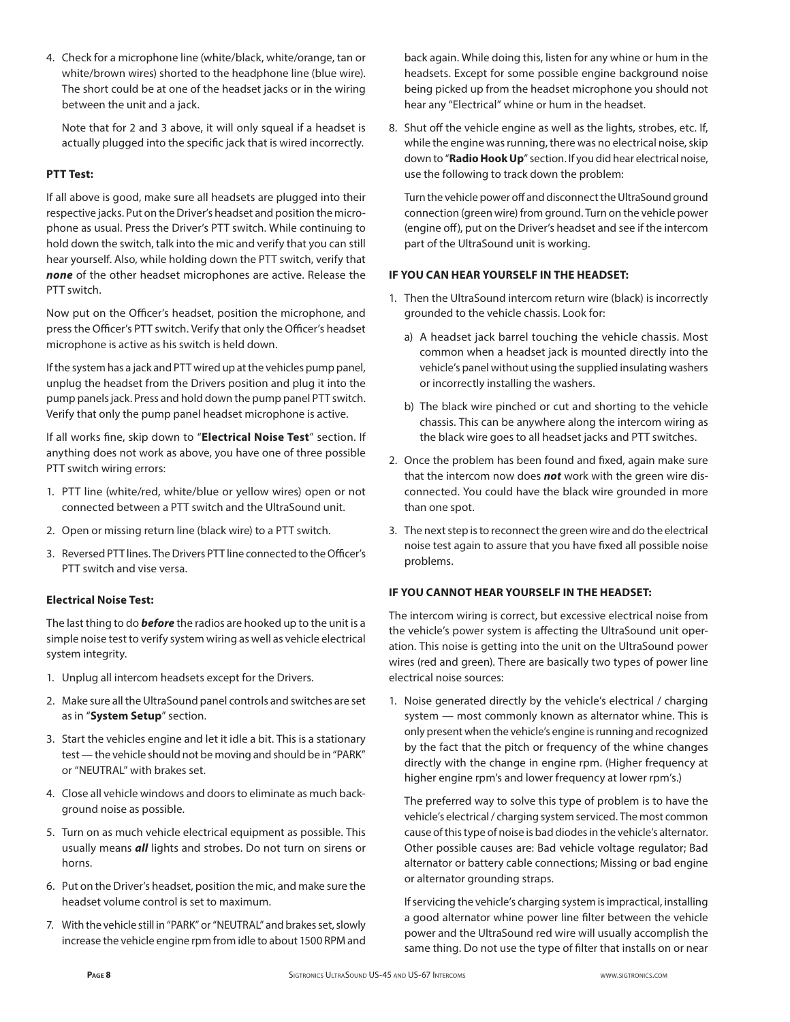4. Check for a microphone line (white/black, white/orange, tan or white/brown wires) shorted to the headphone line (blue wire). The short could be at one of the headset jacks or in the wiring between the unit and a jack.

 Note that for 2 and 3 above, it will only squeal if a headset is actually plugged into the specific jack that is wired incorrectly.

## **PTT Test:**

If all above is good, make sure all headsets are plugged into their respective jacks. Put on the Driver's headset and position the microphone as usual. Press the Driver's PTT switch. While continuing to hold down the switch, talk into the mic and verify that you can still hear yourself. Also, while holding down the PTT switch, verify that *none* of the other headset microphones are active. Release the PTT switch.

Now put on the Officer's headset, position the microphone, and press the Officer's PTT switch. Verify that only the Officer's headset microphone is active as his switch is held down.

If the system has a jack and PTT wired up at the vehicles pump panel, unplug the headset from the Drivers position and plug it into the pump panels jack. Press and hold down the pump panel PTT switch. Verify that only the pump panel headset microphone is active.

If all works fine, skip down to "**Electrical Noise Test**" section. If anything does not work as above, you have one of three possible PTT switch wiring errors:

- 1. PTT line (white/red, white/blue or yellow wires) open or not connected between a PTT switch and the UltraSound unit.
- 2. Open or missing return line (black wire) to a PTT switch.
- 3. Reversed PTT lines. The Drivers PTT line connected to the Officer's PTT switch and vise versa.

## **Electrical Noise Test:**

The last thing to do *before* the radios are hooked up to the unit is a simple noise test to verify system wiring as well as vehicle electrical system integrity.

- 1. Unplug all intercom headsets except for the Drivers.
- 2. Make sure all the UltraSound panel controls and switches are set as in "**System Setup**" section.
- 3. Start the vehicles engine and let it idle a bit. This is a stationary test — the vehicle should not be moving and should be in "PARK" or "NEUTRAL" with brakes set.
- 4. Close all vehicle windows and doors to eliminate as much background noise as possible.
- 5. Turn on as much vehicle electrical equipment as possible. This usually means *all* lights and strobes. Do not turn on sirens or horns.
- 6. Put on the Driver's headset, position the mic, and make sure the headset volume control is set to maximum.
- 7. With the vehicle still in "PARK" or "NEUTRAL" and brakes set, slowly increase the vehicle engine rpm from idle to about 1500 RPM and

back again. While doing this, listen for any whine or hum in the headsets. Except for some possible engine background noise being picked up from the headset microphone you should not hear any "Electrical" whine or hum in the headset.

8. Shut off the vehicle engine as well as the lights, strobes, etc. If, while the engine was running, there was no electrical noise, skip down to "**Radio Hook Up**" section. If you did hear electrical noise, use the following to track down the problem:

 Turn the vehicle power off and disconnect the UltraSound ground connection (green wire) from ground. Turn on the vehicle power (engine off), put on the Driver's headset and see if the intercom part of the UltraSound unit is working.

## **IF YOU CAN HEAR YOURSELF IN THE HEADSET:**

- 1. Then the UltraSound intercom return wire (black) is incorrectly grounded to the vehicle chassis. Look for:
	- a) A headset jack barrel touching the vehicle chassis. Most common when a headset jack is mounted directly into the vehicle's panel without using the supplied insulating washers or incorrectly installing the washers.
	- b) The black wire pinched or cut and shorting to the vehicle chassis. This can be anywhere along the intercom wiring as the black wire goes to all headset jacks and PTT switches.
- 2. Once the problem has been found and fixed, again make sure that the intercom now does *not* work with the green wire disconnected. You could have the black wire grounded in more than one spot.
- 3. The next step is to reconnect the green wire and do the electrical noise test again to assure that you have fixed all possible noise problems.

## **IF YOU CANNOT HEAR YOURSELF IN THE HEADSET:**

The intercom wiring is correct, but excessive electrical noise from the vehicle's power system is affecting the UltraSound unit operation. This noise is getting into the unit on the UltraSound power wires (red and green). There are basically two types of power line electrical noise sources:

1. Noise generated directly by the vehicle's electrical / charging system — most commonly known as alternator whine. This is only present when the vehicle's engine is running and recognized by the fact that the pitch or frequency of the whine changes directly with the change in engine rpm. (Higher frequency at higher engine rpm's and lower frequency at lower rpm's.)

 The preferred way to solve this type of problem is to have the vehicle's electrical / charging system serviced. The most common cause of this type of noise is bad diodes in the vehicle's alternator. Other possible causes are: Bad vehicle voltage regulator; Bad alternator or battery cable connections; Missing or bad engine or alternator grounding straps.

 If servicing the vehicle's charging system is impractical, installing a good alternator whine power line filter between the vehicle power and the UltraSound red wire will usually accomplish the same thing. Do not use the type of filter that installs on or near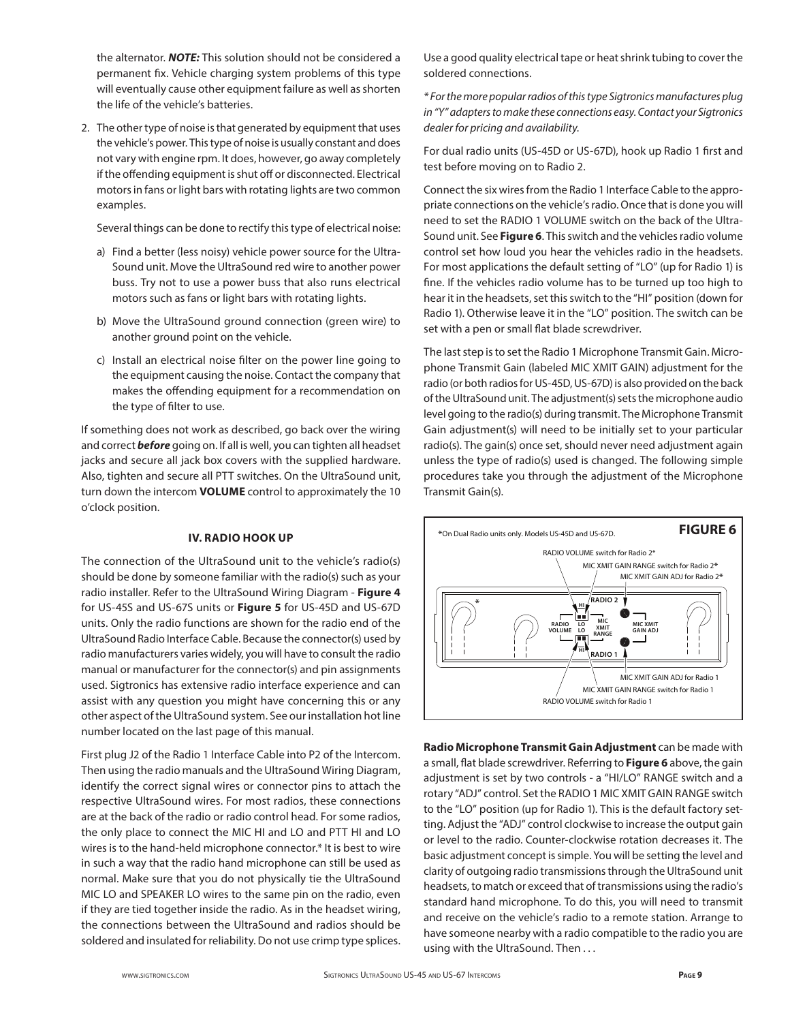the alternator. *NOTE:* This solution should not be considered a permanent fix. Vehicle charging system problems of this type will eventually cause other equipment failure as well as shorten the life of the vehicle's batteries.

2. The other type of noise is that generated by equipment that uses the vehicle's power. This type of noise is usually constant and does not vary with engine rpm. It does, however, go away completely if the offending equipment is shut off or disconnected. Electrical motors in fans or light bars with rotating lights are two common examples.

Several things can be done to rectify this type of electrical noise:

- a) Find a better (less noisy) vehicle power source for the Ultra-Sound unit. Move the UltraSound red wire to another power buss. Try not to use a power buss that also runs electrical motors such as fans or light bars with rotating lights.
- b) Move the UltraSound ground connection (green wire) to another ground point on the vehicle.
- c) Install an electrical noise filter on the power line going to the equipment causing the noise. Contact the company that makes the offending equipment for a recommendation on the type of filter to use.

If something does not work as described, go back over the wiring and correct *before* going on. If all is well, you can tighten all headset jacks and secure all jack box covers with the supplied hardware. Also, tighten and secure all PTT switches. On the UltraSound unit, turn down the intercom **VOLUME** control to approximately the 10 o'clock position.

## **IV. RADIO HOOK UP**

The connection of the UltraSound unit to the vehicle's radio(s) should be done by someone familiar with the radio(s) such as your radio installer. Refer to the UltraSound Wiring Diagram - **Figure 4** for US-45S and US-67S units or **Figure 5** for US-45D and US-67D units. Only the radio functions are shown for the radio end of the UltraSound Radio Interface Cable. Because the connector(s) used by radio manufacturers varies widely, you will have to consult the radio manual or manufacturer for the connector(s) and pin assignments used. Sigtronics has extensive radio interface experience and can assist with any question you might have concerning this or any other aspect of the UltraSound system. See our installation hot line number located on the last page of this manual.

First plug J2 of the Radio 1 Interface Cable into P2 of the Intercom. Then using the radio manuals and the UltraSound Wiring Diagram, identify the correct signal wires or connector pins to attach the respective UltraSound wires. For most radios, these connections are at the back of the radio or radio control head. For some radios, the only place to connect the MIC HI and LO and PTT HI and LO wires is to the hand-held microphone connector.\* It is best to wire in such a way that the radio hand microphone can still be used as normal. Make sure that you do not physically tie the UltraSound MIC LO and SPEAKER LO wires to the same pin on the radio, even if they are tied together inside the radio. As in the headset wiring, the connections between the UltraSound and radios should be soldered and insulated for reliability. Do not use crimp type splices. Use a good quality electrical tape or heat shrink tubing to cover the soldered connections.

*\* For the more popular radios of this type Sigtronics manufactures plug in "Y" adapters to make these connections easy. Contact your Sigtronics dealer for pricing and availability.* 

For dual radio units (US-45D or US-67D), hook up Radio 1 first and test before moving on to Radio 2.

Connect the six wires from the Radio 1 Interface Cable to the appropriate connections on the vehicle's radio. Once that is done you will need to set the RADIO 1 VOLUME switch on the back of the Ultra-Sound unit. See **Figure 6**. This switch and the vehicles radio volume control set how loud you hear the vehicles radio in the headsets. For most applications the default setting of "LO" (up for Radio 1) is fine. If the vehicles radio volume has to be turned up too high to hear it in the headsets, set this switch to the "HI" position (down for Radio 1). Otherwise leave it in the "LO" position. The switch can be set with a pen or small flat blade screwdriver.

The last step is to set the Radio 1 Microphone Transmit Gain. Microphone Transmit Gain (labeled MIC XMIT GAIN) adjustment for the radio (or both radios for US-45D, US-67D) is also provided on the back of the UltraSound unit. The adjustment(s) sets the microphone audio level going to the radio(s) during transmit. The Microphone Transmit Gain adjustment(s) will need to be initially set to your particular radio(s). The gain(s) once set, should never need adjustment again unless the type of radio(s) used is changed. The following simple procedures take you through the adjustment of the Microphone Transmit Gain(s).



**Radio Microphone Transmit Gain Adjustment** can be made with a small, flat blade screwdriver. Referring to **Figure 6** above, the gain adjustment is set by two controls - a "HI/LO" RANGE switch and a rotary "ADJ" control. Set the RADIO 1 MIC XMIT GAIN RANGE switch to the "LO" position (up for Radio 1). This is the default factory setting. Adjust the "ADJ" control clockwise to increase the output gain or level to the radio. Counter-clockwise rotation decreases it. The basic adjustment concept is simple. You will be setting the level and clarity of outgoing radio transmissions through the UltraSound unit headsets, to match or exceed that of transmissions using the radio's standard hand microphone. To do this, you will need to transmit and receive on the vehicle's radio to a remote station. Arrange to have someone nearby with a radio compatible to the radio you are using with the UltraSound. Then . . .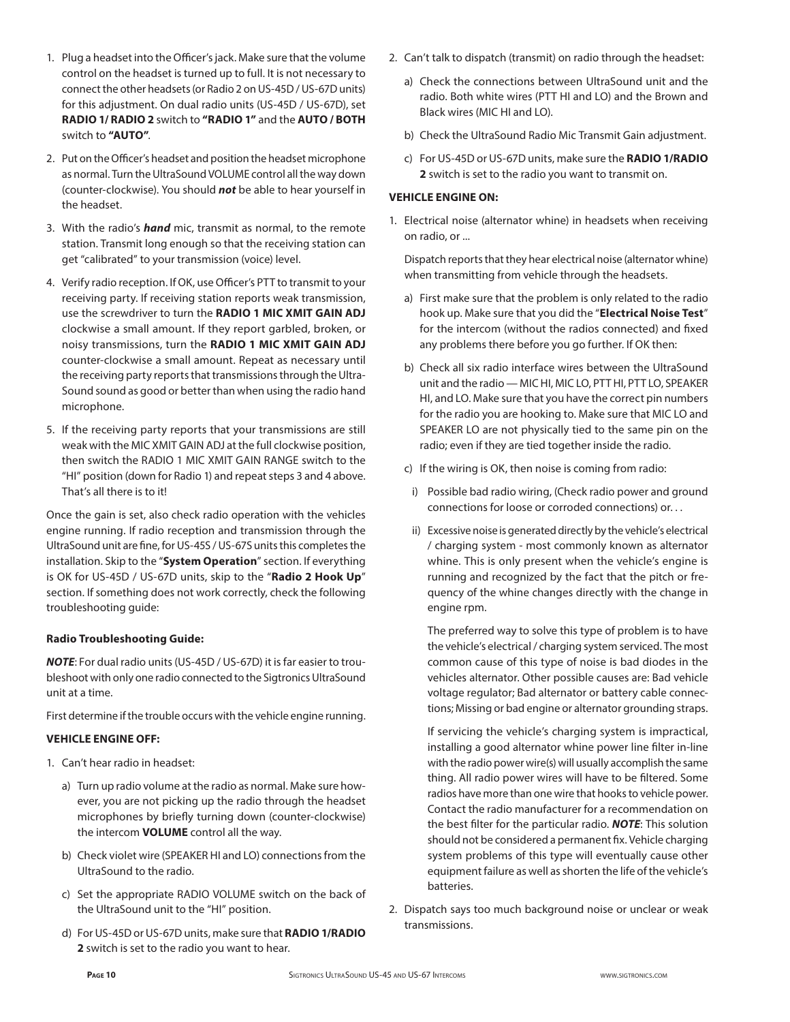- 1. Plug a headset into the Officer's jack. Make sure that the volume control on the headset is turned up to full. It is not necessary to connect the other headsets (or Radio 2 on US-45D / US-67D units) for this adjustment. On dual radio units (US-45D / US-67D), set **RADIO 1/ RADIO 2** switch to **"RADIO 1"** and the **AUTO / BOTH** switch to **"AUTO"**.
- 2. Put on the Officer's headset and position the headset microphone as normal. Turn the UltraSound VOLUME control all the way down (counter-clockwise). You should *not* be able to hear yourself in the headset.
- 3. With the radio's *hand* mic, transmit as normal, to the remote station. Transmit long enough so that the receiving station can get "calibrated" to your transmission (voice) level.
- 4. Verify radio reception. If OK, use Officer's PTT to transmit to your receiving party. If receiving station reports weak transmission, use the screwdriver to turn the **RADIO 1 MIC XMIT GAIN ADJ** clockwise a small amount. If they report garbled, broken, or noisy transmissions, turn the **RADIO 1 MIC XMIT GAIN ADJ** counter-clockwise a small amount. Repeat as necessary until the receiving party reports that transmissions through the Ultra-Sound sound as good or better than when using the radio hand microphone.
- 5. If the receiving party reports that your transmissions are still weak with the MIC XMIT GAIN ADJ at the full clockwise position, then switch the RADIO 1 MIC XMIT GAIN RANGE switch to the "HI" position (down for Radio 1) and repeat steps 3 and 4 above. That's all there is to it!

Once the gain is set, also check radio operation with the vehicles engine running. If radio reception and transmission through the UltraSound unit are fine, for US-45S / US-67S units this completes the installation. Skip to the "**System Operation**" section. If everything is OK for US-45D / US-67D units, skip to the "**Radio 2 Hook Up**" section. If something does not work correctly, check the following troubleshooting guide:

## **Radio Troubleshooting Guide:**

*NOTE*: For dual radio units (US-45D / US-67D) it is far easier to troubleshoot with only one radio connected to the Sigtronics UltraSound unit at a time.

First determine if the trouble occurs with the vehicle engine running.

## **VEHICLE ENGINE OFF:**

- 1. Can't hear radio in headset:
	- a) Turn up radio volume at the radio as normal. Make sure however, you are not picking up the radio through the headset microphones by briefly turning down (counter-clockwise) the intercom **VOLUME** control all the way.
	- b) Check violet wire (SPEAKER HI and LO) connections from the UltraSound to the radio.
	- c) Set the appropriate RADIO VOLUME switch on the back of the UltraSound unit to the "HI" position.
	- d) For US-45D or US-67D units, make sure that **RADIO 1/RADIO 2** switch is set to the radio you want to hear.
- 2. Can't talk to dispatch (transmit) on radio through the headset:
	- a) Check the connections between UltraSound unit and the radio. Both white wires (PTT HI and LO) and the Brown and Black wires (MIC HI and LO).
	- b) Check the UltraSound Radio Mic Transmit Gain adjustment.
	- c) For US-45D or US-67D units, make sure the **RADIO 1/RADIO 2** switch is set to the radio you want to transmit on.

## **VEHICLE ENGINE ON:**

1. Electrical noise (alternator whine) in headsets when receiving on radio, or ...

 Dispatch reports that they hear electrical noise (alternator whine) when transmitting from vehicle through the headsets.

- a) First make sure that the problem is only related to the radio hook up. Make sure that you did the "**Electrical Noise Test**" for the intercom (without the radios connected) and fixed any problems there before you go further. If OK then:
- b) Check all six radio interface wires between the UltraSound unit and the radio — MIC HI, MIC LO, PTT HI, PTT LO, SPEAKER HI, and LO. Make sure that you have the correct pin numbers for the radio you are hooking to. Make sure that MIC LO and SPEAKER LO are not physically tied to the same pin on the radio; even if they are tied together inside the radio.
- c) If the wiring is OK, then noise is coming from radio:
- i) Possible bad radio wiring, (Check radio power and ground connections for loose or corroded connections) or. . .
- ii) Excessive noise is generated directly by the vehicle's electrical / charging system - most commonly known as alternator whine. This is only present when the vehicle's engine is running and recognized by the fact that the pitch or frequency of the whine changes directly with the change in engine rpm.

 The preferred way to solve this type of problem is to have the vehicle's electrical / charging system serviced. The most common cause of this type of noise is bad diodes in the vehicles alternator. Other possible causes are: Bad vehicle voltage regulator; Bad alternator or battery cable connections; Missing or bad engine or alternator grounding straps.

 If servicing the vehicle's charging system is impractical, installing a good alternator whine power line filter in-line with the radio power wire(s) will usually accomplish the same thing. All radio power wires will have to be filtered. Some radios have more than one wire that hooks to vehicle power. Contact the radio manufacturer for a recommendation on the best filter for the particular radio. *NOTE*: This solution should not be considered a permanent fix. Vehicle charging system problems of this type will eventually cause other equipment failure as well as shorten the life of the vehicle's batteries.

2. Dispatch says too much background noise or unclear or weak transmissions.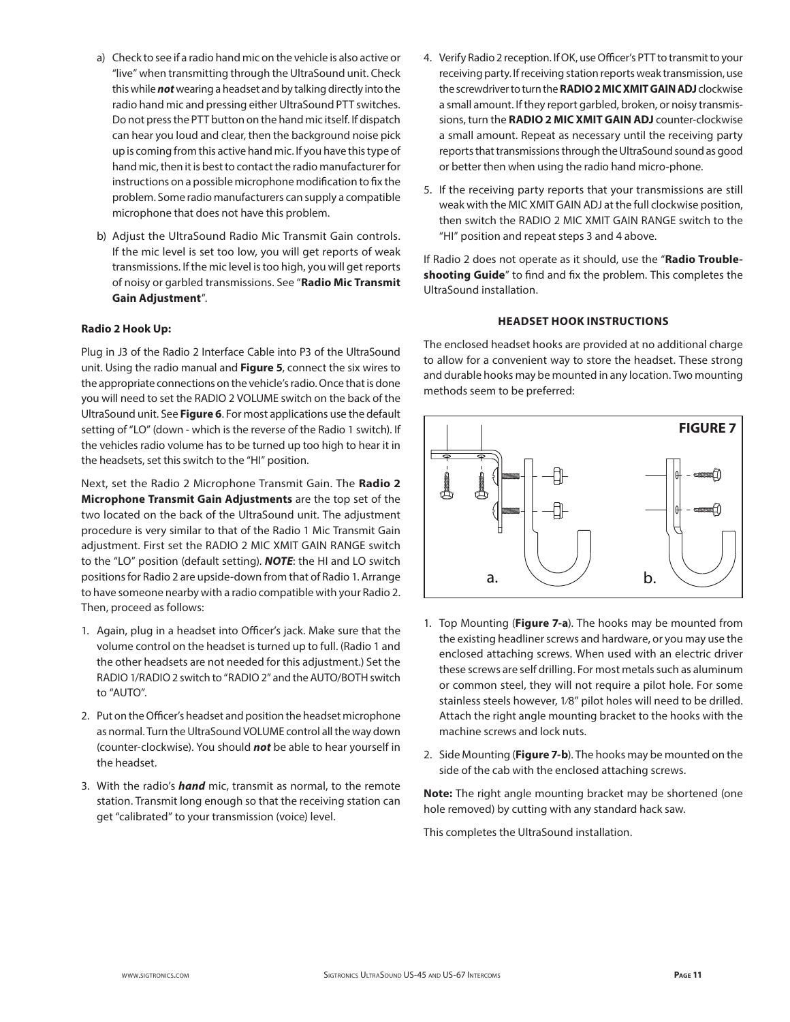- a) Check to see if a radio hand mic on the vehicle is also active or "live" when transmitting through the UltraSound unit. Check this while *not* wearing a headset and by talking directly into the radio hand mic and pressing either UltraSound PTT switches. Do not press the PTT button on the hand mic itself. If dispatch can hear you loud and clear, then the background noise pick up is coming from this active hand mic. If you have this type of hand mic, then it is best to contact the radio manufacturer for instructions on a possible microphone modification to fix the problem. Some radio manufacturers can supply a compatible microphone that does not have this problem.
- b) Adjust the UltraSound Radio Mic Transmit Gain controls. If the mic level is set too low, you will get reports of weak transmissions. If the mic level is too high, you will get reports of noisy or garbled transmissions. See "**Radio Mic Transmit Gain Adjustment**".

## **Radio 2 Hook Up:**

Plug in J3 of the Radio 2 Interface Cable into P3 of the UltraSound unit. Using the radio manual and **Figure 5**, connect the six wires to the appropriate connections on the vehicle's radio. Once that is done you will need to set the RADIO 2 VOLUME switch on the back of the UltraSound unit. See **Figure 6**. For most applications use the default setting of "LO" (down - which is the reverse of the Radio 1 switch). If the vehicles radio volume has to be turned up too high to hear it in the headsets, set this switch to the "HI" position.

Next, set the Radio 2 Microphone Transmit Gain. The **Radio 2 Microphone Transmit Gain Adjustments** are the top set of the two located on the back of the UltraSound unit. The adjustment procedure is very similar to that of the Radio 1 Mic Transmit Gain adjustment. First set the RADIO 2 MIC XMIT GAIN RANGE switch to the "LO" position (default setting). *NOTE*: the HI and LO switch positions for Radio 2 are upside-down from that of Radio 1. Arrange to have someone nearby with a radio compatible with your Radio 2. Then, proceed as follows:

- 1. Again, plug in a headset into Officer's jack. Make sure that the volume control on the headset is turned up to full. (Radio 1 and the other headsets are not needed for this adjustment.) Set the RADIO 1/RADIO 2 switch to "RADIO 2" and the AUTO/BOTH switch to "AUTO".
- 2. Put on the Officer's headset and position the headset microphone as normal. Turn the UltraSound VOLUME control all the way down (counter-clockwise). You should *not* be able to hear yourself in the headset.
- 3. With the radio's *hand* mic, transmit as normal, to the remote station. Transmit long enough so that the receiving station can get "calibrated" to your transmission (voice) level.
- 4. Verify Radio 2 reception. If OK, use Officer's PTT to transmit to your receiving party. If receiving station reports weak transmission, use the screwdriver to turn the **RADIO 2 MIC XMIT GAIN ADJ** clockwise a small amount. If they report garbled, broken, or noisy transmissions, turn the **RADIO 2 MIC XMIT GAIN ADJ** counter-clockwise a small amount. Repeat as necessary until the receiving party reports that transmissions through the UltraSound sound as good or better then when using the radio hand micro-phone.
- 5. If the receiving party reports that your transmissions are still weak with the MIC XMIT GAIN ADJ at the full clockwise position, then switch the RADIO 2 MIC XMIT GAIN RANGE switch to the "HI" position and repeat steps 3 and 4 above.

If Radio 2 does not operate as it should, use the "**Radio Troubleshooting Guide**" to find and fix the problem. This completes the UltraSound installation.

## **HEADSET HOOK INSTRUCTIONS**

The enclosed headset hooks are provided at no additional charge to allow for a convenient way to store the headset. These strong and durable hooks may be mounted in any location. Two mounting methods seem to be preferred:



- 1. Top Mounting (**Figure 7-a**). The hooks may be mounted from the existing headliner screws and hardware, or you may use the enclosed attaching screws. When used with an electric driver these screws are self drilling. For most metals such as aluminum or common steel, they will not require a pilot hole. For some stainless steels however, 1⁄8" pilot holes will need to be drilled. Attach the right angle mounting bracket to the hooks with the machine screws and lock nuts.
- 2. Side Mounting (**Figure 7-b**). The hooks may be mounted on the side of the cab with the enclosed attaching screws.

**Note:** The right angle mounting bracket may be shortened (one hole removed) by cutting with any standard hack saw.

This completes the UltraSound installation.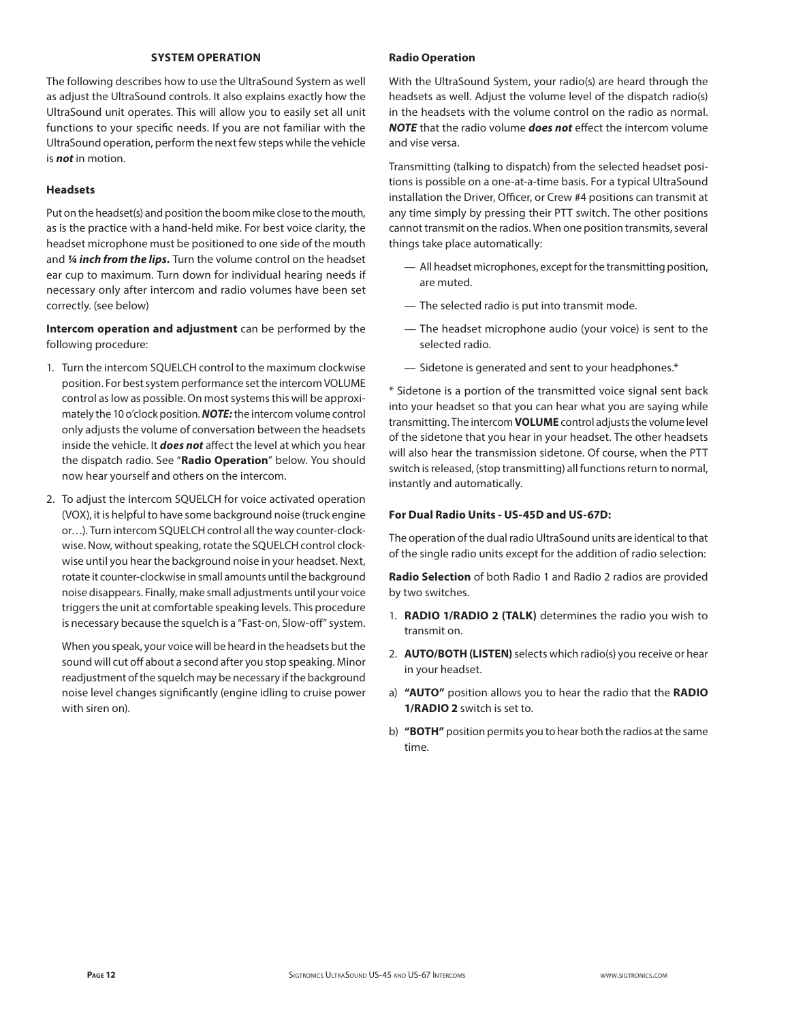## **SYSTEM OPERATION**

The following describes how to use the UltraSound System as well as adjust the UltraSound controls. It also explains exactly how the UltraSound unit operates. This will allow you to easily set all unit functions to your specific needs. If you are not familiar with the UltraSound operation, perform the next few steps while the vehicle is *not* in motion.

## **Headsets**

Put on the headset(s) and position the boom mike close to the mouth, as is the practice with a hand-held mike. For best voice clarity, the headset microphone must be positioned to one side of the mouth and *¼ inch from the lips.* Turn the volume control on the headset ear cup to maximum. Turn down for individual hearing needs if necessary only after intercom and radio volumes have been set correctly. (see below)

**Intercom operation and adjustment** can be performed by the following procedure:

- 1. Turn the intercom SQUELCH control to the maximum clockwise position. For best system performance set the intercom VOLUME control as low as possible. On most systems this will be approximately the 10 o'clock position. *NOTE:* the intercom volume control only adjusts the volume of conversation between the headsets inside the vehicle. It *does not* affect the level at which you hear the dispatch radio. See "**Radio Operation**" below. You should now hear yourself and others on the intercom.
- 2. To adjust the Intercom SQUELCH for voice activated operation (VOX), it is helpful to have some background noise (truck engine or…). Turn intercom SQUELCH control all the way counter-clockwise. Now, without speaking, rotate the SQUELCH control clockwise until you hear the background noise in your headset. Next, rotate it counter-clockwise in small amounts until the background noise disappears. Finally, make small adjustments until your voice triggers the unit at comfortable speaking levels. This procedure is necessary because the squelch is a "Fast-on, Slow-off" system.

 When you speak, your voice will be heard in the headsets but the sound will cut off about a second after you stop speaking. Minor readjustment of the squelch may be necessary if the background noise level changes significantly (engine idling to cruise power with siren on).

## **Radio Operation**

With the UltraSound System, your radio(s) are heard through the headsets as well. Adjust the volume level of the dispatch radio(s) in the headsets with the volume control on the radio as normal. *NOTE* that the radio volume *does not* effect the intercom volume and vise versa.

Transmitting (talking to dispatch) from the selected headset positions is possible on a one-at-a-time basis. For a typical UltraSound installation the Driver, Officer, or Crew #4 positions can transmit at any time simply by pressing their PTT switch. The other positions cannot transmit on the radios. When one position transmits, several things take place automatically:

- All headset microphones, except for the transmitting position, are muted.
- The selected radio is put into transmit mode.
- The headset microphone audio (your voice) is sent to the selected radio.
- Sidetone is generated and sent to your headphones.\*

\* Sidetone is a portion of the transmitted voice signal sent back into your headset so that you can hear what you are saying while transmitting. The intercom **VOLUME** control adjusts the volume level of the sidetone that you hear in your headset. The other headsets will also hear the transmission sidetone. Of course, when the PTT switch is released, (stop transmitting) all functions return to normal, instantly and automatically.

#### **For Dual Radio Units - US-45D and US-67D:**

The operation of the dual radio UltraSound units are identical to that of the single radio units except for the addition of radio selection:

**Radio Selection** of both Radio 1 and Radio 2 radios are provided by two switches.

- 1. **RADIO 1/RADIO 2 (TALK)** determines the radio you wish to transmit on.
- 2. **AUTO/BOTH (LISTEN)** selects which radio(s) you receive or hear in your headset.
- a) **"AUTO"** position allows you to hear the radio that the **RADIO 1/RADIO 2** switch is set to.
- b) **"BOTH"** position permits you to hear both the radios at the same time.